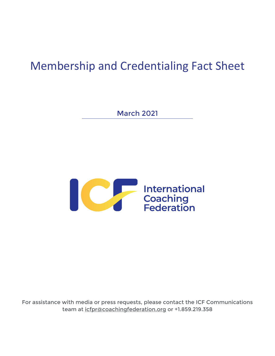# Membership and Credentialing Fact Sheet

March 2021



For assistance with media or press requests, please contact the ICF Communications team at [icfpr@coachingfederation.org](mailto:icfpr@coachingfederation.org) or +1.859.219.358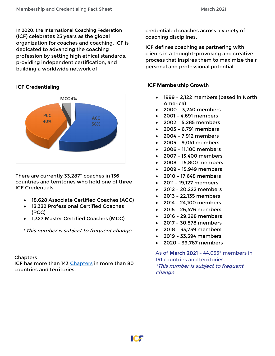In 2020, the International Coaching Federation (ICF) celebrates 25 years as the global organization for coaches and coaching. ICF is dedicated to advancing the coaching profession by setting high ethical standards, providing independent certification, and building a worldwide network of

### ICF Credentialing



There are currently 33,287\* coaches in 136 countries and territories who hold one of three ICF Credentials.

- 18,628 Associate Certified Coaches (ACC)
- 13,332 Professional Certified Coaches (PCC)
- 1,327 Master Certified Coaches (MCC)

\*This number is subject to frequent change.

#### Chapters

ICF has more than 143 [Chapters](http://www.coachingfederation.org/professional-coaches/chapter-map) in more than 80 countries and territories.

credentialed coaches across a variety of coaching disciplines.

ICF defines coaching as partnering with clients in a thought-provoking and creative process that inspires them to maximize their personal and professional potential.

## ICF Membership Growth

- 1999 2,122 members (based in North America)
- 2000 3,240 members
- 2001 4,691 members
- 2002 5,285 members
- 2003 6,791 members
- 2004 7,912 members
- 2005 9,041 members
- 2006 11,100 members
- 2007 13,400 members
- 2008 15,800 members
- 2009 15,949 members
- 2010 17,648 members
- 2011 19,127 members
- 2012 20,222 members
- 2013 22,135 members
- 2014 24,100 members
- 2015 26,476 members
- 2016 29,298 members
- 2017 30,578 members
- 2018 33,739 members
- 2019 33,594 members
- 2020 39,787 members

As of March 2021 – 44,035\* members in 151 countries and territories. \*This number is subject to frequent change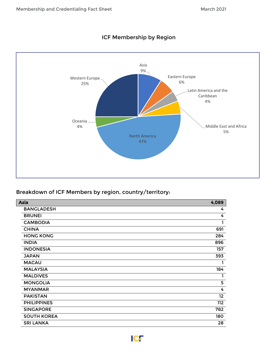

# ICF Membership by Region

# Breakdown of ICF Members by region, country/territory:

| Asia               | 4,089 |
|--------------------|-------|
| <b>BANGLADESH</b>  | 4     |
| <b>BRUNEI</b>      | 4     |
| <b>CAMBODIA</b>    | 1     |
| <b>CHINA</b>       | 691   |
| <b>HONG KONG</b>   | 284   |
| <b>INDIA</b>       | 896   |
| <b>INDONESIA</b>   | 157   |
| <b>JAPAN</b>       | 393   |
| <b>MACAU</b>       |       |
| <b>MALAYSIA</b>    | 184   |
| <b>MALDIVES</b>    | ı     |
| <b>MONGOLIA</b>    | 5     |
| <b>MYANMAR</b>     | 4     |
| <b>PAKISTAN</b>    | 12    |
| <b>PHILIPPINES</b> | 112   |
| <b>SINGAPORE</b>   | 782   |
| <b>SOUTH KOREA</b> | 180   |
| <b>SRI LANKA</b>   | 28    |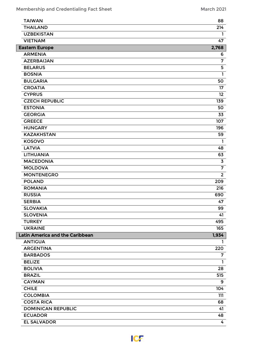| <b>TAIWAN</b>                   | 88             |
|---------------------------------|----------------|
| <b>THAILAND</b>                 | 214            |
| <b>UZBEKISTAN</b>               | 1              |
| <b>VIETNAM</b>                  | 47             |
| <b>Eastern Europe</b>           | 2,768          |
| <b>ARMENIA</b>                  | 6              |
| <b>AZERBAIJAN</b>               | $\overline{7}$ |
| <b>BELARUS</b>                  | 5              |
| <b>BOSNIA</b>                   | ı              |
| <b>BULGARIA</b>                 | 50             |
| <b>CROATIA</b>                  | 17             |
| <b>CYPRUS</b>                   | 12             |
| <b>CZECH REPUBLIC</b>           | 139            |
| <b>ESTONIA</b>                  | 50             |
| <b>GEORGIA</b>                  | 33             |
| <b>GREECE</b>                   | 107            |
| <b>HUNGARY</b>                  | 196            |
| <b>KAZAKHSTAN</b>               | 59             |
| <b>KOSOVO</b>                   | L.             |
| <b>LATVIA</b>                   | 48             |
| <b>LITHUANIA</b>                | 63             |
| <b>MACEDONIA</b>                | $\overline{3}$ |
| <b>MOLDOVA</b>                  | $\overline{7}$ |
| <b>MONTENEGRO</b>               | $\overline{2}$ |
| <b>POLAND</b>                   | 209            |
| <b>ROMANIA</b>                  | 216            |
| <b>RUSSIA</b>                   | 690            |
| <b>SERBIA</b>                   | 47             |
| <b>SLOVAKIA</b>                 | 99             |
| <b>SLOVENIA</b>                 | 41             |
| <b>TURKEY</b>                   | 495            |
| <b>UKRAINE</b>                  | 165            |
| Latin America and the Caribbean | 1,934          |
| <b>ANTIGUA</b>                  | 1              |
| <b>ARGENTINA</b>                | 220            |
| <b>BARBADOS</b>                 | 7              |
| <b>BELIZE</b>                   | $\mathbf{1}$   |
| <b>BOLIVIA</b>                  | 28             |
| <b>BRAZIL</b>                   | 515            |
| <b>CAYMAN</b>                   | 9              |
| <b>CHILE</b>                    | 104            |
| <b>COLOMBIA</b>                 | 111            |
| <b>COSTA RICA</b>               | 68             |
| <b>DOMINICAN REPUBLIC</b>       | 41             |
| <b>ECUADOR</b>                  | 48             |
| <b>EL SALVADOR</b>              | 4              |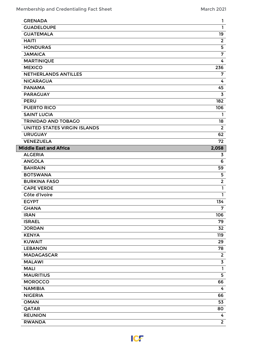| <b>GRENADA</b>                      | 1              |
|-------------------------------------|----------------|
| <b>GUADELOUPE</b>                   | $\mathbf{1}$   |
| <b>GUATEMALA</b>                    | 19             |
| <b>HAITI</b>                        | $\overline{2}$ |
| <b>HONDURAS</b>                     | 5              |
| <b>JAMAICA</b>                      | $\overline{7}$ |
| <b>MARTINIQUE</b>                   | 4              |
| <b>MEXICO</b>                       | 236            |
| <b>NETHERLANDS ANTILLES</b>         | 7              |
| <b>NICARAGUA</b>                    | 4              |
| <b>PANAMA</b>                       | 45             |
| <b>PARAGUAY</b>                     | 3              |
| <b>PERU</b>                         | 182            |
| <b>PUERTO RICO</b>                  | 106            |
| <b>SAINT LUCIA</b>                  | ı              |
| <b>TRINIDAD AND TOBAGO</b>          | 18             |
| <b>UNITED STATES VIRGIN ISLANDS</b> | $\overline{2}$ |
| <b>URUGUAY</b>                      | 62             |
| <b>VENEZUELA</b>                    | 72             |
| <b>Middle East and Africa</b>       | 2,058          |
| <b>ALGERIA</b>                      | 3              |
| <b>ANGOLA</b>                       | 6              |
| <b>BAHRAIN</b>                      | 59             |
| <b>BOTSWANA</b>                     | 5              |
| <b>BURKINA FASO</b>                 | $\overline{2}$ |
| <b>CAPE VERDE</b>                   | 1              |
| Côte d'Ivoire                       | $\mathbf{1}$   |
| <b>ECYPT</b>                        | 134            |
| <b>GHANA</b>                        | $\overline{7}$ |
| <b>IRAN</b>                         | 106            |
| <b>ISRAEL</b>                       | 79             |
| <b>JORDAN</b>                       | 32             |
| <b>KENYA</b>                        | 119            |
| <b>KUWAIT</b>                       | 29             |
| <b>LEBANON</b>                      | 78             |
| <b>MADAGASCAR</b>                   | $\overline{2}$ |
| <b>MALAWI</b>                       | 3              |
| <b>MALI</b>                         | 1              |
|                                     |                |
| <b>MAURITIUS</b>                    | 5              |
| <b>MOROCCO</b>                      | 66             |
| <b>NAMIBIA</b>                      | 4              |
| <b>NIGERIA</b>                      | 66             |
| <b>OMAN</b>                         | 53             |
| QATAR                               | 80             |
| <b>REUNION</b>                      | 4              |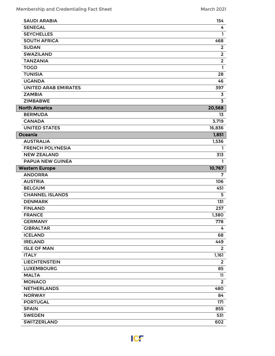| <b>SAUDI ARABIA</b>         | 154                     |
|-----------------------------|-------------------------|
| <b>SENEGAL</b>              | 4                       |
| <b>SEYCHELLES</b>           | L                       |
| <b>SOUTH AFRICA</b>         | 468                     |
| <b>SUDAN</b>                | $\overline{2}$          |
| <b>SWAZILAND</b>            | $\overline{2}$          |
| <b>TANZANIA</b>             | $\overline{2}$          |
| <b>TOGO</b>                 | $\mathbf{I}$            |
| <b>TUNISIA</b>              | 28                      |
| <b>UGANDA</b>               | 46                      |
| <b>UNITED ARAB EMIRATES</b> | 397                     |
| <b>ZAMBIA</b>               | $\overline{\mathbf{3}}$ |
| <b>ZIMBABWE</b>             | $\overline{\mathbf{3}}$ |
| <b>North America</b>        | 20,568                  |
| <b>BERMUDA</b>              | 13                      |
| <b>CANADA</b>               | 3,719                   |
| <b>UNITED STATES</b>        | 16,836                  |
| Oceania                     | 1,851                   |
| <b>AUSTRALIA</b>            | 1,536                   |
| <b>FRENCH POLYNESIA</b>     | L                       |
| <b>NEW ZEALAND</b>          | 313                     |
| <b>PAPUA NEW GUINEA</b>     | ı.                      |
| <b>Western Europe</b>       | 10,767                  |
| <b>ANDORRA</b>              | $\overline{7}$          |
| <b>AUSTRIA</b>              | 106                     |
| <b>BELGIUM</b>              | 451                     |
| <b>CHANNEL ISLANDS</b>      | 5                       |
| <b>DENMARK</b>              | 131                     |
| <b>FINLAND</b>              | 237                     |
| <b>FRANCE</b>               | 1,380                   |
| <b>GERMANY</b>              | 778                     |
| <b>GIBRALTAR</b>            | 4                       |
| <b>ICELAND</b>              | 68                      |
| <b>IRELAND</b>              | 449                     |
| <b>ISLE OF MAN</b>          | $\overline{2}$          |
| <b>ITALY</b>                | 1,161                   |
| <b>LIECHTENSTEIN</b>        | $\overline{2}$          |
| <b>LUXEMBOURG</b>           | 85                      |
| <b>MALTA</b>                | 11                      |
| <b>MONACO</b>               | $\overline{2}$          |
| <b>NETHERLANDS</b>          | 480                     |
| <b>NORWAY</b>               | 84                      |
| <b>PORTUGAL</b>             | 171                     |
| <b>SPAIN</b>                | 855                     |
| <b>SWEDEN</b>               | 531                     |
| <b>SWITZERLAND</b>          | 602                     |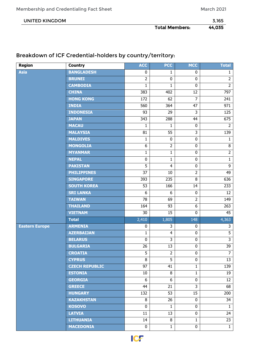|                | <b>Total Members:</b> | 44,035 |
|----------------|-----------------------|--------|
| UNITED KINGDOM |                       | 3,165  |

| <b>Region</b>         | <b>Country</b>        | <b>ACC</b>     | <b>PCC</b>              | <b>MCC</b>     | <b>Total</b>    |
|-----------------------|-----------------------|----------------|-------------------------|----------------|-----------------|
| <b>Asia</b>           | <b>BANGLADESH</b>     | 0              | 1                       | 0              | 1               |
|                       | <b>BRUNEI</b>         | $\overline{2}$ | $\pmb{0}$               | 0              | $\overline{2}$  |
|                       | <b>CAMBODIA</b>       | $\mathbf{1}$   | $\mathbf{1}$            | $\mathbf 0$    | $\overline{2}$  |
|                       | <b>CHINA</b>          | 383            | 402                     | 12             | 797             |
|                       | <b>HONG KONG</b>      | 172            | 62                      | $\overline{7}$ | 241             |
|                       | <b>INDIA</b>          | 560            | 364                     | 47             | 971             |
|                       | <b>INDONESIA</b>      | 93             | 29                      | 3              | 125             |
|                       | <b>JAPAN</b>          | 343            | 288                     | 44             | 675             |
|                       | <b>MACAU</b>          | $\mathbf{1}$   | $\mathbf{1}$            | $\pmb{0}$      | $\overline{2}$  |
|                       | <b>MALAYSIA</b>       | 81             | $\overline{55}$         | З              | 139             |
|                       | <b>MALDIVES</b>       | $\mathbf 1$    | $\bf{0}$                | 0              | 1               |
|                       | <b>MONGOLIA</b>       | 6              | $\overline{2}$          | 0              | 8               |
|                       | <b>MYANMAR</b>        | $\mathbf{1}$   | $\mathbf{1}$            | 0              | $\overline{2}$  |
|                       | <b>NEPAL</b>          | $\pmb{0}$      | 1                       | 0              | $\mathbf{1}$    |
|                       | <b>PAKISTAN</b>       | 5              | $\overline{\mathbf{4}}$ | $\pmb{0}$      | $\overline{9}$  |
|                       | <b>PHILIPPINES</b>    | 37             | 10                      | $\overline{2}$ | 49              |
|                       | <b>SINGAPORE</b>      | 393            | 235                     | $\overline{8}$ | 636             |
|                       | <b>SOUTH KOREA</b>    | 53             | 166                     | 14             | 233             |
|                       | <b>SRI LANKA</b>      | 6              | 6                       | 0              | 12              |
|                       | <b>TAIWAN</b>         | 78             | 69                      | $\overline{2}$ | 149             |
|                       | <b>THAILAND</b>       | 164            | 93                      | 6              | 263             |
|                       | <b>VIETNAM</b>        | 30             | 15                      | $\mathbf 0$    | 45              |
|                       | <b>Total</b>          | 2,410          | 1,805                   | 148            | 4,363           |
| <b>Eastern Europe</b> | <b>ARMENIA</b>        | 0              | 3                       | 0              | 3               |
|                       | <b>AZERBAIJAN</b>     | $\mathbf 1$    | $\overline{4}$          | $\pmb{0}$      | $\overline{5}$  |
|                       | <b>BELARUS</b>        | $\mathbf 0$    | 3                       | 0              | $\overline{3}$  |
|                       | <b>BULGARIA</b>       | 26             | 13                      | $\pmb{0}$      | 39              |
|                       | <b>CROATIA</b>        | $\overline{5}$ | $\overline{2}$          | $\pmb{0}$      | $\overline{7}$  |
|                       | <b>CYPRUS</b>         | $\overline{8}$ | $\overline{5}$          | 0              | $\overline{13}$ |
|                       | <b>CZECH REPUBLIC</b> | 97             | 41                      | $\mathbf{1}$   | 139             |
|                       | <b>ESTONIA</b>        | 10             | 8                       | $\mathbf{1}$   | 19              |
|                       | <b>GEORGIA</b>        | 6              | 6                       | 0              | 12              |
|                       | <b>GREECE</b>         | 44             | 21                      | 3              | 68              |
|                       | <b>HUNGARY</b>        | 132            | 53                      | 15             | 200             |
|                       | <b>KAZAKHSTAN</b>     | 8              | 26                      | 0              | 34              |
|                       | <b>KOSOVO</b>         | $\mathbf 0$    | $\mathbf{1}$            | 0              | 1               |
|                       | <b>LATVIA</b>         | 11             | 13                      | 0              | 24              |
|                       | <b>LITHUANIA</b>      | 14             | 8                       | $\mathbf{1}$   | 23              |
|                       | <b>MACEDONIA</b>      | $\pmb{0}$      | $\mathbf{1}$            | 0              | $\mathbf{1}$    |

# Breakdown of ICF Credential-holders by country/territory:

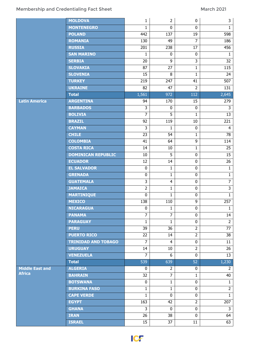|                        | <b>MOLDOVA</b>             | 1              | $\overline{2}$          | $\pmb{0}$      | 3               |
|------------------------|----------------------------|----------------|-------------------------|----------------|-----------------|
|                        | <b>MONTENEGRO</b>          | 1              | 0                       | $\mathbf 0$    | $\mathbf{1}$    |
|                        | <b>POLAND</b>              | 442            | 137                     | 19             | 598             |
|                        | <b>ROMANIA</b>             | 130            | 49                      | $\overline{7}$ | 186             |
|                        | <b>RUSSIA</b>              | 201            | 238                     | 17             | 456             |
|                        | <b>SAN MARINO</b>          | 1              | 0                       | 0              | $\mathbf{1}$    |
|                        | <b>SERBIA</b>              | 20             | $\overline{9}$          | $\overline{3}$ | $\overline{32}$ |
|                        | <b>SLOVAKIA</b>            | 87             | 27                      | $\mathbf{1}$   | 115             |
|                        | <b>SLOVENIA</b>            | 15             | 8                       | $\mathbf{1}$   | 24              |
|                        | <b>TURKEY</b>              | 219            | 247                     | 41             | 507             |
|                        | <b>UKRAINE</b>             | 82             | $\overline{47}$         | $\overline{2}$ | 131             |
|                        | <b>Total</b>               | 1,561          | 972                     | 112            | 2,645           |
| <b>Latin America</b>   | <b>ARGENTINA</b>           | 94             | 170                     | 15             | 279             |
|                        | <b>BARBADOS</b>            | 3              | 0                       | $\pmb{0}$      | $\mathsf{3}$    |
|                        | <b>BOLIVIA</b>             | $\overline{7}$ | $\overline{5}$          | $\mathbf{1}$   | $\overline{13}$ |
|                        | <b>BRAZIL</b>              | 92             | 119                     | 10             | 221             |
|                        | <b>CAYMAN</b>              | 3              | $\mathbf{1}$            | $\mathbf 0$    | $\overline{4}$  |
|                        | <b>CHILE</b>               | 23             | 54                      | $\mathbf{1}$   | 78              |
|                        | <b>COLOMBIA</b>            | 41             | 64                      | $\overline{9}$ | 114             |
|                        | <b>COSTA RICA</b>          | 14             | 10                      | $\mathbf{1}$   | 25              |
|                        | <b>DOMINICAN REPUBLIC</b>  | 10             | $\overline{5}$          | $\pmb{0}$      | 15              |
|                        | <b>ECUADOR</b>             | 12             | 14                      | $\mathbf 0$    | 26              |
|                        | <b>EL SALVADOR</b>         | $\pmb{0}$      | 1                       | $\mathbf 0$    | $\mathbf{1}$    |
|                        | <b>GRENADA</b>             | $\pmb{0}$      | $\mathbf{1}$            | $\pmb{0}$      | $\mathbf{1}$    |
|                        | <b>GUATEMALA</b>           | 3              | $\overline{\mathbf{4}}$ | $\pmb{0}$      | 7               |
|                        | <b>JAMAICA</b>             | $\overline{2}$ | $\mathbf{1}$            | $\pmb{0}$      | 3               |
|                        | <b>MARTINIQUE</b>          | $\pmb{0}$      | $\mathbf{1}$            | $\mathbf 0$    | $\mathbf{1}$    |
|                        | <b>MEXICO</b>              | 138            | 110                     | 9              | 257             |
|                        | <b>NICARAGUA</b>           | $\pmb{0}$      | 1                       | $\pmb{0}$      | $\mathbf{1}$    |
|                        | <b>PANAMA</b>              | $\overline{7}$ | $\overline{7}$          | $\pmb{0}$      | $\overline{14}$ |
|                        | <b>PARAGUAY</b>            | 1              | $\mathbf{1}$            | 0              | $\overline{2}$  |
|                        | <b>PERU</b>                | 39             | 36                      | $\overline{2}$ | $\overline{77}$ |
|                        | <b>PUERTO RICO</b>         | 22             | 14                      | $\overline{2}$ | 38              |
|                        | <b>TRINIDAD AND TOBAGO</b> | $\overline{7}$ | $\overline{4}$          | 0              | 11              |
|                        | <b>URUGUAY</b>             | 14             | 10                      | $\overline{2}$ | 26              |
|                        | <b>VENEZUELA</b>           | $\overline{7}$ | 6                       | 0              | 13              |
|                        | <b>Total</b>               | 539            | 639                     | 52             | 1,230           |
| <b>Middle East and</b> | <b>ALGERIA</b>             | 0              | $\overline{2}$          | $\mathbf 0$    | $\overline{2}$  |
| <b>Africa</b>          | <b>BAHRAIN</b>             | 32             | $\overline{7}$          | $\mathbf{1}$   | 40              |
|                        | <b>BOTSWANA</b>            | 0              | $\mathbf{1}$            | $\mathbf 0$    | $\mathbf{1}$    |
|                        | <b>BURKINA FASO</b>        | $\mathbf{1}$   | $\mathbf{1}$            | 0              | $\overline{2}$  |
|                        | <b>CAPE VERDE</b>          | $\mathbf{1}$   | 0                       | $\mathbf{0}$   | $\mathbf{1}$    |
|                        | <b>EGYPT</b>               | 163            | 42                      | $\overline{2}$ | 207             |
|                        | <b>GHANA</b>               | 3              | 0                       | $\mathbf 0$    | 3               |
|                        | <b>IRAN</b>                | 26             | 38                      | $\mathbf{0}$   | 64              |
|                        | <b>ISRAEL</b>              | 15             | 37                      | 11             | 63              |
|                        |                            |                |                         |                |                 |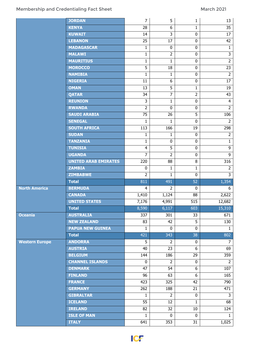|                       | <b>JORDAN</b>               | $\overline{7}$          | 5              | $\mathbf 1$    | 13              |
|-----------------------|-----------------------------|-------------------------|----------------|----------------|-----------------|
|                       | <b>KENYA</b>                | 28                      | 6              | 1              | 35              |
|                       | <b>KUWAIT</b>               | 14                      | 3              | $\pmb{0}$      | 17              |
|                       | <b>LEBANON</b>              | 25                      | 17             | 0              | $\overline{42}$ |
|                       | <b>MADAGASCAR</b>           | 1                       | 0              | 0              | $\mathbf{1}$    |
|                       | <b>MALAWI</b>               | $\mathbf 1$             | $\overline{2}$ | $\pmb{0}$      | $\overline{3}$  |
|                       | <b>MAURITIUS</b>            | 1                       | $\mathbf{1}$   | $\pmb{0}$      | $\overline{2}$  |
|                       | <b>MOROCCO</b>              | 5                       | 18             | $\pmb{0}$      | 23              |
|                       | <b>NAMIBIA</b>              | 1                       | $\mathbf{1}$   | 0              | $\overline{2}$  |
|                       | <b>NIGERIA</b>              | 11                      | 6              | $\pmb{0}$      | 17              |
|                       | <b>OMAN</b>                 | 13                      | $\overline{5}$ | $\mathbf{1}$   | $\overline{19}$ |
|                       | <b>QATAR</b>                | 34                      | $\overline{7}$ | $\overline{2}$ | 43              |
|                       | <b>REUNION</b>              | $\overline{\mathbf{3}}$ | $\mathbf{1}$   | 0              | $\overline{4}$  |
|                       | <b>RWANDA</b>               | $\overline{2}$          | $\mathbf 0$    | $\pmb{0}$      | $\overline{2}$  |
|                       | <b>SAUDI ARABIA</b>         | $\overline{75}$         | 26             | $\overline{5}$ | 106             |
|                       | <b>SENEGAL</b>              | 1                       | 1              | 0              | $\overline{2}$  |
|                       | <b>SOUTH AFRICA</b>         | 113                     | 166            | 19             | 298             |
|                       | <b>SUDAN</b>                | 1                       | $\mathbf{1}$   | 0              | $\overline{2}$  |
|                       | <b>TANZANIA</b>             | $\mathbf{1}$            | 0              | $\pmb{0}$      | $\overline{1}$  |
|                       | <b>TUNISIA</b>              | $\overline{4}$          | 5              | $\pmb{0}$      | 9               |
|                       | <b>UGANDA</b>               | 7                       | $\overline{2}$ | $\pmb{0}$      | $\overline{9}$  |
|                       | <b>UNITED ARAB EMIRATES</b> | 220                     | 88             | 8              | 316             |
|                       | <b>ZAMBIA</b>               | $\pmb{0}$               | 1              | 1              | $\overline{2}$  |
|                       | <b>ZIMBABWE</b>             | $\overline{2}$          | 1              | 0              | $\overline{3}$  |
|                       | <b>Total</b>                | 811                     | 491            | 52             | 1,354           |
| <b>North America</b>  | <b>BERMUDA</b>              | 4                       | 2              | $\mathbf{0}$   | 6               |
|                       | <b>CANADA</b>               | 1,410                   | 1,124          | 88             | 2,622           |
|                       | <b>UNITED STATES</b>        | 7,176                   | 4,991          | 515            | 12,682          |
|                       | <b>Total</b>                | 8,590                   | 6,117          | 603            | 15,310          |
| <b>Oceania</b>        | <b>AUSTRALIA</b>            | 337                     | 301            | 33             | 671             |
|                       | <b>NEW ZEALAND</b>          | 83                      | 42             | 5              | 130             |
|                       | <b>PAPUA NEW GUINEA</b>     | $\mathbf{1}$            | 0              | $\mathbf{0}$   | $\mathbf{1}$    |
|                       | <b>Total</b>                | 421                     | 343            | 38             | 802             |
| <b>Western Europe</b> | <b>ANDORRA</b>              | 5                       | $\overline{2}$ | 0              | $\overline{7}$  |
|                       | <b>AUSTRIA</b>              | 40                      | 23             | 6              | 69              |
|                       | <b>BELGIUM</b>              | 144                     | 186            | 29             | 359             |
|                       | <b>CHANNEL ISLANDS</b>      | 0                       | $\overline{2}$ | $\mathbf 0$    | $\overline{2}$  |
|                       | <b>DENMARK</b>              | 47                      | 54             | 6              | 107             |
|                       | <b>FINLAND</b>              | 96                      | 63             | 6              | 165             |
|                       | <b>FRANCE</b>               | 423                     | 325            | 42             | 790             |
|                       | <b>GERMANY</b>              | 262                     | 188            | 21             | 471             |
|                       | <b>GIBRALTAR</b>            | $\mathbf{1}$            | $\overline{2}$ | $\bf{0}$       | $\overline{3}$  |
|                       | <b>ICELAND</b>              | 55                      | 12             | $\mathbf{1}$   | 68              |
|                       | <b>IRELAND</b>              | 82                      | 32             | 10             | 124             |
|                       | <b>ISLE OF MAN</b>          | $\mathbf{1}$            | 0              | $\mathbf 0$    | $\mathbf{1}$    |
|                       | <b>ITALY</b>                | 641                     | 353            | 31             | 1,025           |